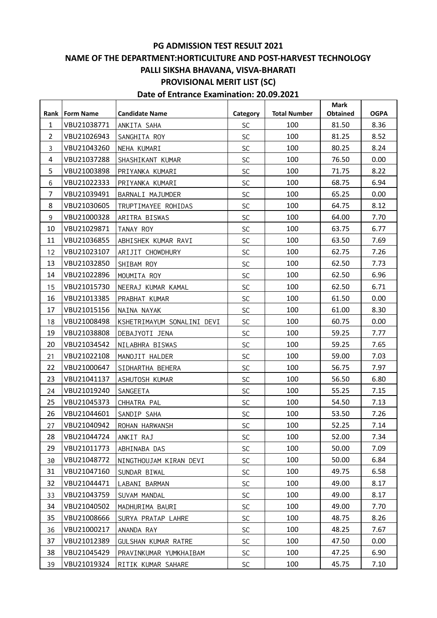## **PG ADMISSION TEST RESULT 2021 NAME OF THE DEPARTMENT:HORTICULTURE AND POST-HARVEST TECHNOLOGY PALLI SIKSHA BHAVANA, VISVA-BHARATI PROVISIONAL MERIT LIST (SC) Date of Entrance Examination: 20.09.2021**

|                |                  |                            |           |                     | <b>Mark</b>     |             |
|----------------|------------------|----------------------------|-----------|---------------------|-----------------|-------------|
| Rank           | <b>Form Name</b> | <b>Candidate Name</b>      | Category  | <b>Total Number</b> | <b>Obtained</b> | <b>OGPA</b> |
| $\mathbf{1}$   | VBU21038771      | ANKITA SAHA                | <b>SC</b> | 100                 | 81.50           | 8.36        |
| $\overline{2}$ | VBU21026943      | SANGHITA ROY               | SC        | 100                 | 81.25           | 8.52        |
| 3              | VBU21043260      | NEHA KUMARI                | SC        | 100                 | 80.25           | 8.24        |
| $\overline{4}$ | VBU21037288      | SHASHIKANT KUMAR           | <b>SC</b> | 100                 | 76.50           | 0.00        |
| 5              | VBU21003898      | PRIYANKA KUMARI            | SC        | 100                 | 71.75           | 8.22        |
| 6              | VBU21022333      | PRIYANKA KUMARI            | SC        | 100                 | 68.75           | 6.94        |
| $\overline{7}$ | VBU21039491      | BARNALI MAJUMDER           | SC        | 100                 | 65.25           | 0.00        |
| 8              | VBU21030605      | TRUPTIMAYEE ROHIDAS        | <b>SC</b> | 100                 | 64.75           | 8.12        |
| 9              | VBU21000328      | ARITRA BISWAS              | SC        | 100                 | 64.00           | 7.70        |
| 10             | VBU21029871      | TANAY ROY                  | SC        | 100                 | 63.75           | 6.77        |
| 11             | VBU21036855      | ABHISHEK KUMAR RAVI        | <b>SC</b> | 100                 | 63.50           | 7.69        |
| 12             | VBU21023107      | ARIJIT CHOWDHURY           | <b>SC</b> | 100                 | 62.75           | 7.26        |
| 13             | VBU21032850      | SHIBAM ROY                 | SC        | 100                 | 62.50           | 7.73        |
| 14             | VBU21022896      | MOUMITA ROY                | SC        | 100                 | 62.50           | 6.96        |
| 15             | VBU21015730      | NEERAJ KUMAR KAMAL         | SC        | 100                 | 62.50           | 6.71        |
| 16             | VBU21013385      | PRABHAT KUMAR              | <b>SC</b> | 100                 | 61.50           | 0.00        |
| 17             | VBU21015156      | NAINA NAYAK                | SC        | 100                 | 61.00           | 8.30        |
| 18             | VBU21008498      | KSHETRIMAYUM SONALINI DEVI | SC        | 100                 | 60.75           | 0.00        |
| 19             | VBU21038808      | DEBAJYOTI JENA             | <b>SC</b> | 100                 | 59.25           | 7.77        |
| 20             | VBU21034542      | NILABHRA BISWAS            | SC        | 100                 | 59.25           | 7.65        |
| 21             | VBU21022108      | MANOJIT HALDER             | SC        | 100                 | 59.00           | 7.03        |
| 22             | VBU21000647      | SIDHARTHA BEHERA           | <b>SC</b> | 100                 | 56.75           | 7.97        |
| 23             | VBU21041137      | ASHUTOSH KUMAR             | SC        | 100                 | 56.50           | 6.80        |
| 24             | VBU21019240      | SANGEETA                   | <b>SC</b> | 100                 | 55.25           | 7.15        |
| 25             | VBU21045373      | CHHATRA PAL                | SC        | 100                 | 54.50           | 7.13        |
| 26             | VBU21044601      | SANDIP SAHA                | SC        | 100                 | 53.50           | 7.26        |
| 27             | VBU21040942      | ROHAN HARWANSH             | SC        | 100                 | 52.25           | 7.14        |
| 28             | VBU21044724      | ANKIT RAJ                  | <b>SC</b> | 100                 | 52.00           | 7.34        |
| 29             | VBU21011773      | ABHINABA DAS               | <b>SC</b> | 100                 | 50.00           | 7.09        |
| 30             | VBU21048772      | NINGTHOUJAM KIRAN DEVI     | <b>SC</b> | 100                 | 50.00           | 6.84        |
| 31             | VBU21047160      | SUNDAR BIWAL               | <b>SC</b> | 100                 | 49.75           | 6.58        |
| 32             | VBU21044471      | LABANI BARMAN              | <b>SC</b> | 100                 | 49.00           | 8.17        |
| 33             | VBU21043759      | SUVAM MANDAL               | <b>SC</b> | 100                 | 49.00           | 8.17        |
| 34             | VBU21040502      | MADHURIMA BAURI            | <b>SC</b> | 100                 | 49.00           | 7.70        |
| 35             | VBU21008666      | SURYA PRATAP LAHRE         | <b>SC</b> | 100                 | 48.75           | 8.26        |
| 36             | VBU21000217      | ANANDA RAY                 | <b>SC</b> | 100                 | 48.25           | 7.67        |
| 37             | VBU21012389      | GULSHAN KUMAR RATRE        | <b>SC</b> | 100                 | 47.50           | 0.00        |
| 38             | VBU21045429      | PRAVINKUMAR YUMKHAIBAM     | <b>SC</b> | 100                 | 47.25           | 6.90        |
| 39             | VBU21019324      | RITIK KUMAR SAHARE         | <b>SC</b> | 100                 | 45.75           | 7.10        |